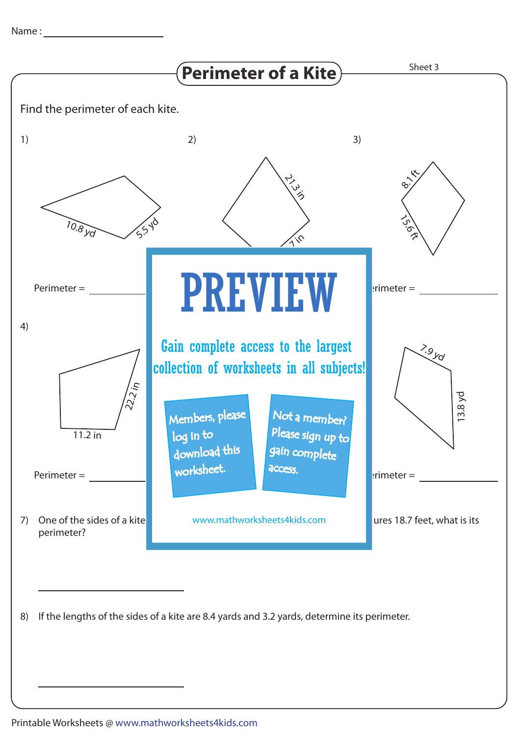